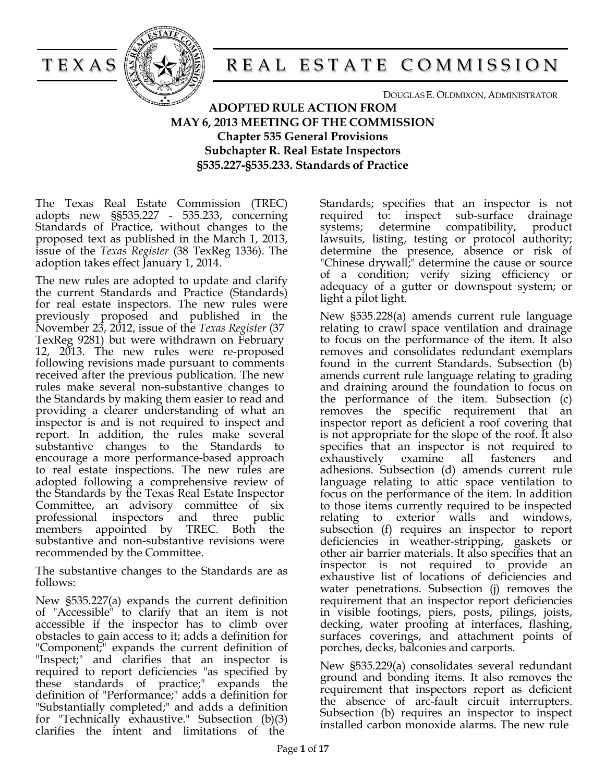



# TEXAS REAL ESTATE COMMISSION

DOUGLAS E. OLDMIXON, ADMINISTRATOR

**ADOPTED RULE ACTION FROM MAY 6, 2013 MEETING OF THE COMMISSION Chapter 535 General Provisions Subchapter R. Real Estate Inspectors §535.227-§535.233. Standards of Practice**

The Texas Real Estate Commission (TREC) adopts new §§535.227 - 535.233, concerning Standards of Practice, without changes to the proposed text as published in the March 1, 2013, issue of the *Texas Register* (38 TexReg 1336). The adoption takes effect January 1, 2014.

The new rules are adopted to update and clarify the current Standards and Practice (Standards) for real estate inspectors. The new rules were previously proposed and published in the November 23, 2012, issue of the *Texas Register* (37 TexReg 9281) but were withdrawn on February 12, 2013. The new rules were re-proposed following revisions made pursuant to comments received after the previous publication. The new rules make several non-substantive changes to the Standards by making them easier to read and providing a clearer understanding of what an inspector is and is not required to inspect and report. In addition, the rules make several substantive changes to the Standards to encourage a more performance-based approach to real estate inspections. The new rules are adopted following a comprehensive review of the Standards by the Texas Real Estate Inspector Committee, an advisory committee of six professional inspectors and three public members appointed by TREC. Both the substantive and non-substantive revisions were recommended by the Committee.

The substantive changes to the Standards are as follows:

New §535.227(a) expands the current definition of "Accessible" to clarify that an item is not accessible if the inspector has to climb over obstacles to gain access to it; adds a definition for "Component;" expands the current definition of "Inspect;" and clarifies that an inspector is required to report deficiencies "as specified by these standards of practice;" expands the definition of "Performance;" adds a definition for "Substantially completed;" and adds a definition for "Technically exhaustive." Subsection (b)(3) clarifies the intent and limitations of the

Standards; specifies that an inspector is not required to: inspect sub-surface drainage systems; determine compatibility, product lawsuits, listing, testing or protocol authority; determine the presence, absence or risk of "Chinese drywall;" determine the cause or source of a condition; verify sizing efficiency or adequacy of a gutter or downspout system; or light a pilot light.

New §535.228(a) amends current rule language relating to crawl space ventilation and drainage to focus on the performance of the item. It also removes and consolidates redundant exemplars found in the current Standards. Subsection (b) amends current rule language relating to grading and draining around the foundation to focus on the performance of the item. Subsection (c) removes the specific requirement that an inspector report as deficient a roof covering that is not appropriate for the slope of the roof. It also specifies that an inspector is not required to exhaustively examine all fasteners and adhesions. Subsection (d) amends current rule language relating to attic space ventilation to focus on the performance of the item. In addition to those items currently required to be inspected relating to exterior walls and windows, subsection (f) requires an inspector to report deficiencies in weather-stripping, gaskets or other air barrier materials. It also specifies that an inspector is not required to provide an exhaustive list of locations of deficiencies and water penetrations. Subsection (j) removes the requirement that an inspector report deficiencies in visible footings, piers, posts, pilings, joists, decking, water proofing at interfaces, flashing, surfaces coverings, and attachment points of porches, decks, balconies and carports.

New §535.229(a) consolidates several redundant ground and bonding items. It also removes the requirement that inspectors report as deficient the absence of arc-fault circuit interrupters. Subsection (b) requires an inspector to inspect installed carbon monoxide alarms. The new rule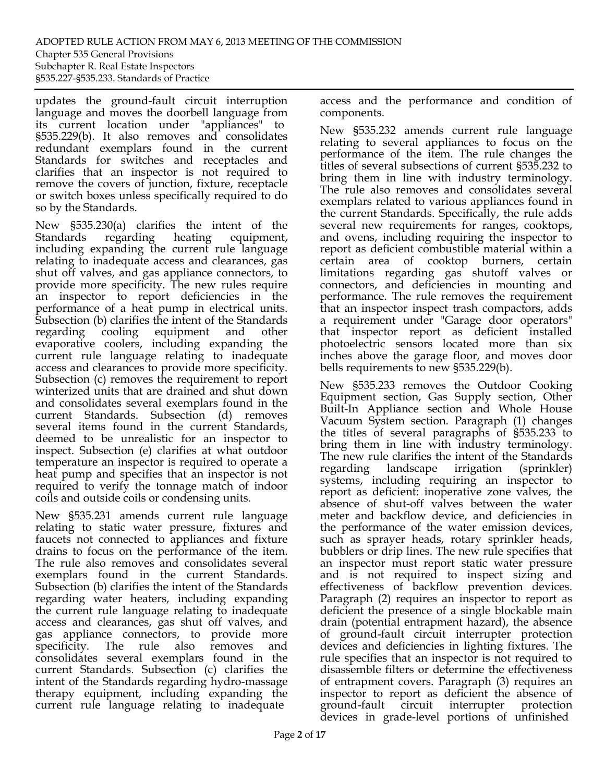updates the ground-fault circuit interruption language and moves the doorbell language from its current location under "appliances" to §535.229(b). It also removes and consolidates redundant exemplars found in the current Standards for switches and receptacles and clarifies that an inspector is not required to remove the covers of junction, fixture, receptacle or switch boxes unless specifically required to do so by the Standards.

New §535.230(a) clarifies the intent of the Standards regarding heating equipment, including expanding the current rule language relating to inadequate access and clearances, gas shut off valves, and gas appliance connectors, to provide more specificity. The new rules require an inspector to report deficiencies in the performance of a heat pump in electrical units. Subsection (b) clarifies the intent of the Standards regarding cooling equipment and other evaporative coolers, including expanding the current rule language relating to inadequate access and clearances to provide more specificity. Subsection (c) removes the requirement to report winterized units that are drained and shut down and consolidates several exemplars found in the current Standards. Subsection (d) removes several items found in the current Standards, deemed to be unrealistic for an inspector to inspect. Subsection (e) clarifies at what outdoor temperature an inspector is required to operate a heat pump and specifies that an inspector is not required to verify the tonnage match of indoor coils and outside coils or condensing units.

New §535.231 amends current rule language relating to static water pressure, fixtures and faucets not connected to appliances and fixture drains to focus on the performance of the item. The rule also removes and consolidates several exemplars found in the current Standards. Subsection (b) clarifies the intent of the Standards regarding water heaters, including expanding the current rule language relating to inadequate access and clearances, gas shut off valves, and gas appliance connectors, to provide more specificity. The rule also removes and consolidates several exemplars found in the current Standards. Subsection (c) clarifies the intent of the Standards regarding hydro-massage therapy equipment, including expanding the current rule language relating to inadequate

access and the performance and condition of components.

New §535.232 amends current rule language relating to several appliances to focus on the performance of the item. The rule changes the titles of several subsections of current §535.232 to bring them in line with industry terminology. The rule also removes and consolidates several exemplars related to various appliances found in the current Standards. Specifically, the rule adds several new requirements for ranges, cooktops, and ovens, including requiring the inspector to report as deficient combustible material within a certain area of cooktop burners, certain limitations regarding gas shutoff valves or connectors, and deficiencies in mounting and performance. The rule removes the requirement that an inspector inspect trash compactors, adds a requirement under "Garage door operators" that inspector report as deficient installed photoelectric sensors located more than six inches above the garage floor, and moves door bells requirements to new §535.229(b).

New §535.233 removes the Outdoor Cooking Equipment section, Gas Supply section, Other Built-In Appliance section and Whole House Vacuum System section. Paragraph (1) changes the titles of several paragraphs of §535.233 to bring them in line with industry terminology. The new rule clarifies the intent of the Standards regarding landscape irrigation (sprinkler) systems, including requiring an inspector to report as deficient: inoperative zone valves, the absence of shut-off valves between the water meter and backflow device, and deficiencies in the performance of the water emission devices, such as sprayer heads, rotary sprinkler heads, bubblers or drip lines. The new rule specifies that an inspector must report static water pressure and is not required to inspect sizing and effectiveness of backflow prevention devices. Paragraph (2) requires an inspector to report as deficient the presence of a single blockable main drain (potential entrapment hazard), the absence of ground-fault circuit interrupter protection devices and deficiencies in lighting fixtures. The rule specifies that an inspector is not required to disassemble filters or determine the effectiveness of entrapment covers. Paragraph (3) requires an inspector to report as deficient the absence of ground-fault circuit interrupter protection devices in grade-level portions of unfinished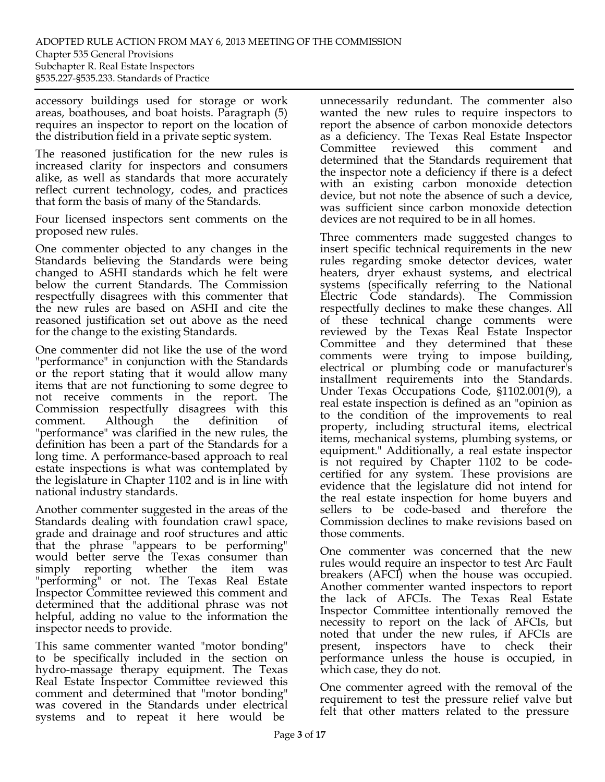accessory buildings used for storage or work areas, boathouses, and boat hoists. Paragraph (5) requires an inspector to report on the location of the distribution field in a private septic system.

The reasoned justification for the new rules is increased clarity for inspectors and consumers alike, as well as standards that more accurately reflect current technology, codes, and practices that form the basis of many of the Standards.

Four licensed inspectors sent comments on the proposed new rules.

One commenter objected to any changes in the Standards believing the Standards were being changed to ASHI standards which he felt were below the current Standards. The Commission respectfully disagrees with this commenter that the new rules are based on ASHI and cite the reasoned justification set out above as the need for the change to the existing Standards.

One commenter did not like the use of the word "performance" in conjunction with the Standards or the report stating that it would allow many items that are not functioning to some degree to not receive comments in the report. The Commission respectfully disagrees with this comment. Although the definition of "performance" was clarified in the new rules, the definition has been a part of the Standards for a long time. A performance-based approach to real estate inspections is what was contemplated by the legislature in Chapter 1102 and is in line with national industry standards.

Another commenter suggested in the areas of the Standards dealing with foundation crawl space, grade and drainage and roof structures and attic that the phrase "appears to be performing" would better serve the Texas consumer than simply reporting whether the item was "performing" or not. The Texas Real Estate Inspector Committee reviewed this comment and determined that the additional phrase was not helpful, adding no value to the information the inspector needs to provide.

This same commenter wanted "motor bonding" to be specifically included in the section on hydro-massage therapy equipment. The Texas Real Estate Inspector Committee reviewed this comment and determined that "motor bonding" was covered in the Standards under electrical systems and to repeat it here would be

unnecessarily redundant. The commenter also wanted the new rules to require inspectors to report the absence of carbon monoxide detectors as a deficiency. The Texas Real Estate Inspector Committee reviewed this comment and determined that the Standards requirement that the inspector note a deficiency if there is a defect with an existing carbon monoxide detection device, but not note the absence of such a device, was sufficient since carbon monoxide detection devices are not required to be in all homes.

Three commenters made suggested changes to insert specific technical requirements in the new rules regarding smoke detector devices, water heaters, dryer exhaust systems, and electrical systems (specifically referring to the National Electric Code standards). The Commission respectfully declines to make these changes. All of these technical change comments were reviewed by the Texas Real Estate Inspector Committee and they determined that these comments were trying to impose building, electrical or plumbing code or manufacturer's installment requirements into the Standards. Under Texas Occupations Code, §1102.001(9), a real estate inspection is defined as an "opinion as to the condition of the improvements to real property, including structural items, electrical items, mechanical systems, plumbing systems, or equipment." Additionally, a real estate inspector is not required by Chapter 1102 to be codecertified for any system. These provisions are evidence that the legislature did not intend for the real estate inspection for home buyers and sellers to be code-based and therefore the Commission declines to make revisions based on those comments.

One commenter was concerned that the new rules would require an inspector to test Arc Fault breakers (AFCI) when the house was occupied. Another commenter wanted inspectors to report the lack of AFCIs. The Texas Real Estate Inspector Committee intentionally removed the necessity to report on the lack of AFCIs, but noted that under the new rules, if AFCIs are present, inspectors have to check their performance unless the house is occupied, in which case, they do not.

One commenter agreed with the removal of the requirement to test the pressure relief valve but felt that other matters related to the pressure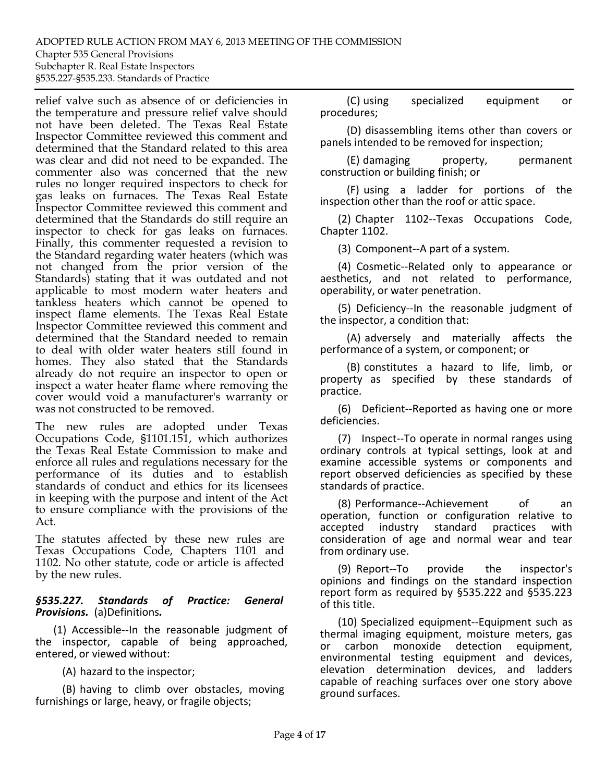relief valve such as absence of or deficiencies in the temperature and pressure relief valve should not have been deleted. The Texas Real Estate Inspector Committee reviewed this comment and determined that the Standard related to this area was clear and did not need to be expanded. The commenter also was concerned that the new rules no longer required inspectors to check for gas leaks on furnaces. The Texas Real Estate Inspector Committee reviewed this comment and determined that the Standards do still require an inspector to check for gas leaks on furnaces. Finally, this commenter requested a revision to the Standard regarding water heaters (which was not changed from the prior version of the Standards) stating that it was outdated and not applicable to most modern water heaters and tankless heaters which cannot be opened to inspect flame elements. The Texas Real Estate Inspector Committee reviewed this comment and determined that the Standard needed to remain to deal with older water heaters still found in homes. They also stated that the Standards already do not require an inspector to open or inspect a water heater flame where removing the cover would void a manufacturer's warranty or was not constructed to be removed.

The new rules are adopted under Texas Occupations Code, §1101.151, which authorizes the Texas Real Estate Commission to make and enforce all rules and regulations necessary for the performance of its duties and to establish standards of conduct and ethics for its licensees in keeping with the purpose and intent of the Act to ensure compliance with the provisions of the Act.

The statutes affected by these new rules are Texas Occupations Code, Chapters 1101 and 1102. No other statute, code or article is affected by the new rules.

## *§535.227. Standards of Practice: General Provisions.* (a)Definitions*.*

(1) Accessible‐‐In the reasonable judgment of the inspector, capable of being approached, entered, or viewed without:

(A) hazard to the inspector;

(B) having to climb over obstacles, moving furnishings or large, heavy, or fragile objects;

(C) using specialized equipment or procedures;

(D) disassembling items other than covers or panels intended to be removed for inspection;

(E) damaging property, permanent construction or building finish; or

(F) using a ladder for portions of the inspection other than the roof or attic space.

(2) Chapter 1102‐‐Texas Occupations Code, Chapter 1102.

(3) Component‐‐A part of a system.

(4) Cosmetic‐‐Related only to appearance or aesthetics, and not related to performance, operability, or water penetration.

(5) Deficiency‐‐In the reasonable judgment of the inspector, a condition that:

(A) adversely and materially affects the performance of a system, or component; or

(B) constitutes a hazard to life, limb, or property as specified by these standards of practice.

(6) Deficient‐‐Reported as having one or more deficiencies.

(7) Inspect‐‐To operate in normal ranges using ordinary controls at typical settings, look at and examine accessible systems or components and report observed deficiencies as specified by these standards of practice.

(8) Performance‐‐Achievement of an operation, function or configuration relative to<br>accepted industry standard practices with accepted industry standard practices with consideration of age and normal wear and tear from ordinary use.

(9) Report‐‐To provide the inspector's opinions and findings on the standard inspection report form as required by §535.222 and §535.223 of this title.

(10) Specialized equipment‐‐Equipment such as thermal imaging equipment, moisture meters, gas or carbon monoxide detection equipment, environmental testing equipment and devices, elevation determination devices, and ladders capable of reaching surfaces over one story above ground surfaces.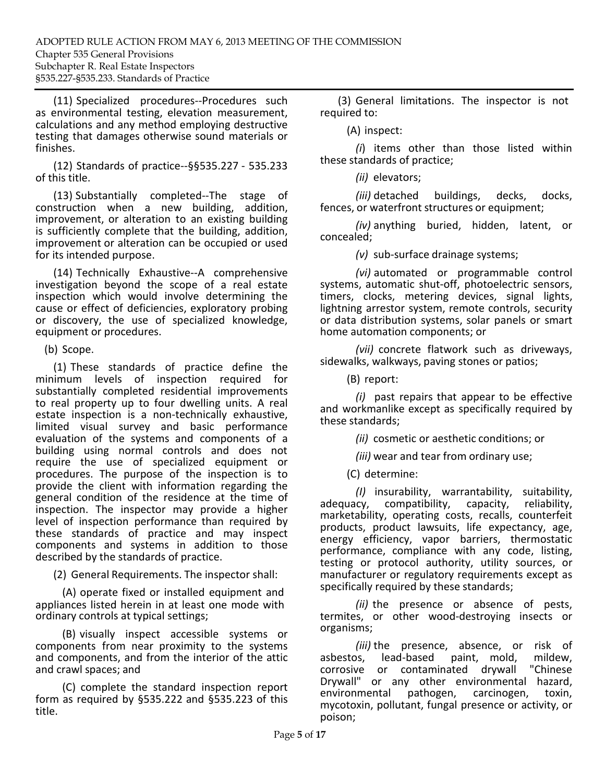(11) Specialized procedures‐‐Procedures such as environmental testing, elevation measurement, calculations and any method employing destructive testing that damages otherwise sound materials or finishes.

(12) Standards of practice‐‐§§535.227 ‐ 535.233 of this title.

(13) Substantially completed‐‐The stage of construction when a new building, addition, improvement, or alteration to an existing building is sufficiently complete that the building, addition, improvement or alteration can be occupied or used for its intended purpose.

(14) Technically Exhaustive‐‐A comprehensive investigation beyond the scope of a real estate inspection which would involve determining the cause or effect of deficiencies, exploratory probing or discovery, the use of specialized knowledge, equipment or procedures.

(b) Scope.

(1) These standards of practice define the minimum levels of inspection required for substantially completed residential improvements to real property up to four dwelling units. A real estate inspection is a non-technically exhaustive, limited visual survey and basic performance evaluation of the systems and components of a building using normal controls and does not require the use of specialized equipment or procedures. The purpose of the inspection is to provide the client with information regarding the general condition of the residence at the time of inspection. The inspector may provide a higher level of inspection performance than required by these standards of practice and may inspect components and systems in addition to those described by the standards of practice.

(2) General Requirements. The inspector shall:

(A) operate fixed or installed equipment and appliances listed herein in at least one mode with ordinary controls at typical settings;

(B) visually inspect accessible systems or components from near proximity to the systems and components, and from the interior of the attic and crawl spaces; and

(C) complete the standard inspection report form as required by §535.222 and §535.223 of this title.

(3) General limitations. The inspector is not required to:

(A) inspect:

*(i*) items other than those listed within these standards of practice;

*(ii)* elevators;

*(iii)* detached buildings, decks, docks, fences, or waterfront structures or equipment;

*(iv)* anything buried, hidden, latent, or concealed;

*(v)* sub‐surface drainage systems;

*(vi)* automated or programmable control systems, automatic shut‐off, photoelectric sensors, timers, clocks, metering devices, signal lights, lightning arrestor system, remote controls, security or data distribution systems, solar panels or smart home automation components; or

*(vii)* concrete flatwork such as driveways, sidewalks, walkways, paving stones or patios;

(B) report:

*(i)* past repairs that appear to be effective and workmanlike except as specifically required by these standards;

*(ii)* cosmetic or aesthetic conditions; or

*(iii)* wear and tear from ordinary use;

(C) determine:

*(I)* insurability, warrantability, suitability, adequacy, compatibility, marketability, operating costs, recalls, counterfeit products, product lawsuits, life expectancy, age, energy efficiency, vapor barriers, thermostatic performance, compliance with any code, listing, testing or protocol authority, utility sources, or manufacturer or regulatory requirements except as specifically required by these standards;

*(ii)* the presence or absence of pests, termites, or other wood‐destroying insects or organisms;

*(iii)* the presence, absence, or risk of<br>
os, lead-based paint, mold, mildew, asbestos, lead-based paint, mold, mildew,<br>corrosive or contaminated drywall "Chinese contaminated drywall Drywall" or any other environmental hazard, environmental pathogen, carcinogen, toxin, mycotoxin, pollutant, fungal presence or activity, or poison;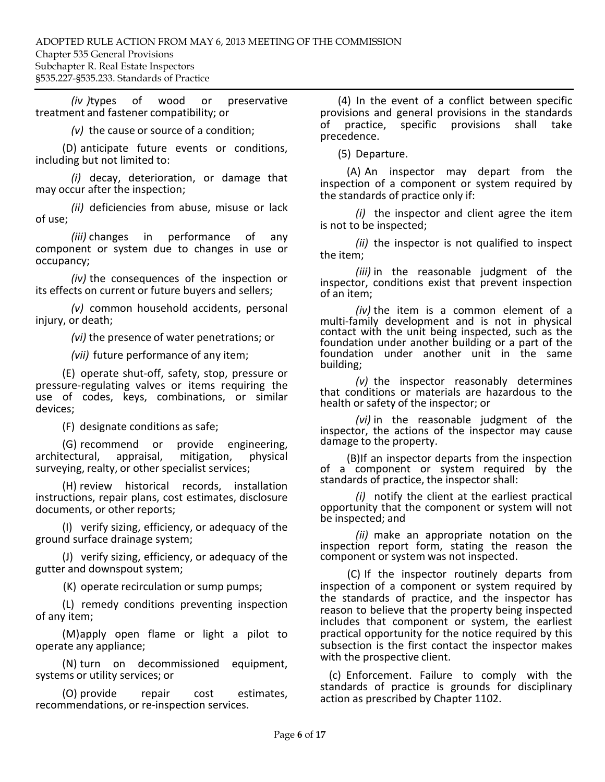*(iv )*types of wood or preservative treatment and fastener compatibility; or

*(v)* the cause or source of a condition;

(D) anticipate future events or conditions, including but not limited to:

*(i)* decay, deterioration, or damage that may occur after the inspection;

*(ii)* deficiencies from abuse, misuse or lack of use;

*(iii)* changes in performance of any component or system due to changes in use or occupancy;

*(iv)* the consequences of the inspection or its effects on current or future buyers and sellers;

*(v)* common household accidents, personal injury, or death;

*(vi)* the presence of water penetrations; or

*(vii)* future performance of any item;

(E) operate shut‐off, safety, stop, pressure or pressure‐regulating valves or items requiring the use of codes, keys, combinations, or similar devices;

(F) designate conditions as safe;

(G) recommend or provide engineering,<br>ectural, appraisal, mitigation, physical architectural, surveying, realty, or other specialist services;

(H) review historical records, installation instructions, repair plans, cost estimates, disclosure documents, or other reports;

(I) verify sizing, efficiency, or adequacy of the ground surface drainage system;

(J) verify sizing, efficiency, or adequacy of the gutter and downspout system;

(K) operate recirculation or sump pumps;

(L) remedy conditions preventing inspection of any item;

(M)apply open flame or light a pilot to operate any appliance;

(N) turn on decommissioned equipment, systems or utility services; or

(O) provide repair cost estimates, recommendations, or re‐inspection services.

(4) In the event of a conflict between specific provisions and general provisions in the standards<br>of practice, specific provisions shall take of practice, specific provisions precedence.

(5) Departure.

(A) An inspector may depart from the inspection of a component or system required by the standards of practice only if:

*(i)* the inspector and client agree the item is not to be inspected;

*(ii)* the inspector is not qualified to inspect the item;

*(iii)* in the reasonable judgment of the inspector, conditions exist that prevent inspection of an item;

*(iv)* the item is a common element of a multi-family development and is not in physical contact with the unit being inspected, such as the foundation under another building or a part of the foundation under another unit in the same building;

*(v)* the inspector reasonably determines that conditions or materials are hazardous to the health or safety of the inspector; or

*(vi)* in the reasonable judgment of the inspector, the actions of the inspector may cause damage to the property.

(B)If an inspector departs from the inspection of a component or system required by the standards of practice, the inspector shall:

*(i)* notify the client at the earliest practical opportunity that the component or system will not be inspected; and

*(ii)* make an appropriate notation on the inspection report form, stating the reason the component or system was not inspected.

(C) If the inspector routinely departs from inspection of a component or system required by the standards of practice, and the inspector has reason to believe that the property being inspected includes that component or system, the earliest practical opportunity for the notice required by this subsection is the first contact the inspector makes with the prospective client.

(c) Enforcement. Failure to comply with the standards of practice is grounds for disciplinary action as prescribed by Chapter 1102.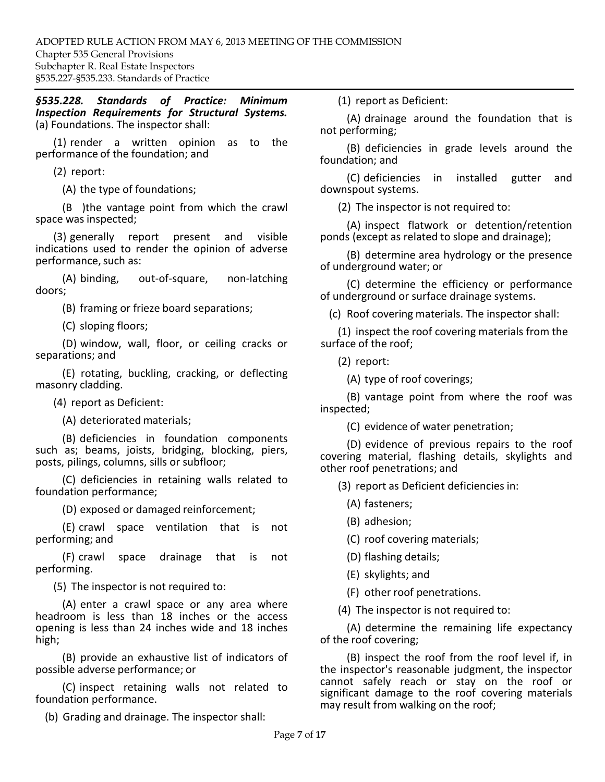*§535.228. Standards of Practice: Minimum Inspection Requirements for Structural Systems.*  (a) Foundations. The inspector shall:

(1) render a written opinion as to the performance of the foundation; and

(2) report:

(A) the type of foundations;

(B )the vantage point from which the crawl space was inspected;

(3) generally report present and visible indications used to render the opinion of adverse performance, such as:

(A) binding, out‐of‐square, non‐latching doors;

(B) framing or frieze board separations;

(C) sloping floors;

(D) window, wall, floor, or ceiling cracks or separations; and

(E) rotating, buckling, cracking, or deflecting masonry cladding.

(4) report as Deficient:

(A) deteriorated materials;

(B) deficiencies in foundation components such as; beams, joists, bridging, blocking, piers, posts, pilings, columns, sills or subfloor;

(C) deficiencies in retaining walls related to foundation performance;

(D) exposed or damaged reinforcement;

(E) crawl space ventilation that is not performing; and

(F) crawl space drainage that is not performing.

(5) The inspector is not required to:

(A) enter a crawl space or any area where headroom is less than 18 inches or the access opening is less than 24 inches wide and 18 inches high;

(B) provide an exhaustive list of indicators of possible adverse performance; or

(C) inspect retaining walls not related to foundation performance.

(b) Grading and drainage. The inspector shall:

(1) report as Deficient:

(A) drainage around the foundation that is not performing;

(B) deficiencies in grade levels around the foundation; and

(C) deficiencies in installed gutter and downspout systems.

(2) The inspector is not required to:

(A) inspect flatwork or detention/retention ponds (except as related to slope and drainage);

(B) determine area hydrology or the presence of underground water; or

(C) determine the efficiency or performance of underground or surface drainage systems.

(c) Roof covering materials. The inspector shall:

(1) inspect the roof covering materials from the surface of the roof;

(2) report:

(A) type of roof coverings;

(B) vantage point from where the roof was inspected;

(C) evidence of water penetration;

(D) evidence of previous repairs to the roof covering material, flashing details, skylights and other roof penetrations; and

(3) report as Deficient deficiencies in:

(A) fasteners;

(B) adhesion;

(C) roof covering materials;

(D) flashing details;

(E) skylights; and

(F) other roof penetrations.

(4) The inspector is not required to:

(A) determine the remaining life expectancy of the roof covering;

(B) inspect the roof from the roof level if, in the inspector's reasonable judgment, the inspector cannot safely reach or stay on the roof or significant damage to the roof covering materials may result from walking on the roof;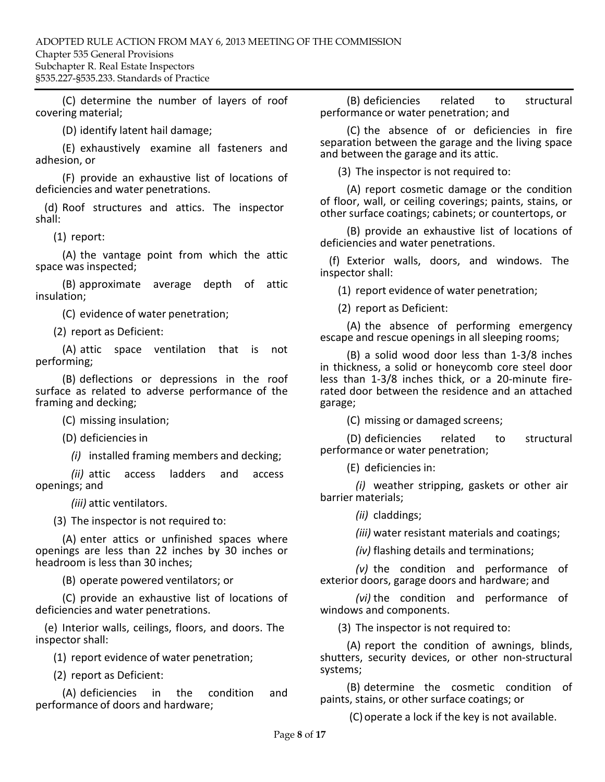(C) determine the number of layers of roof covering material;

(D) identify latent hail damage;

(E) exhaustively examine all fasteners and adhesion, or

(F) provide an exhaustive list of locations of deficiencies and water penetrations.

(d) Roof structures and attics. The inspector shall:

(1) report:

(A) the vantage point from which the attic space was inspected;

(B) approximate average depth of attic insulation;

(C) evidence of water penetration;

(2) report as Deficient:

(A) attic space ventilation that is not performing;

(B) deflections or depressions in the roof surface as related to adverse performance of the framing and decking;

(C) missing insulation;

(D) deficienciesin

*(i)* installed framing members and decking;

*(ii)* attic access ladders and access openings; and

*(iii)* attic ventilators.

(3) The inspector is not required to:

(A) enter attics or unfinished spaces where openings are less than 22 inches by 30 inches or headroom is less than 30 inches;

(B) operate powered ventilators; or

(C) provide an exhaustive list of locations of deficiencies and water penetrations.

(e) Interior walls, ceilings, floors, and doors. The inspector shall:

(1) report evidence of water penetration;

(2) report as Deficient:

(A) deficiencies in the condition and performance of doors and hardware;

(B) deficiencies related to structural performance or water penetration; and

(C) the absence of or deficiencies in fire separation between the garage and the living space and between the garage and its attic.

(3) The inspector is not required to:

(A) report cosmetic damage or the condition of floor, wall, or ceiling coverings; paints, stains, or other surface coatings; cabinets; or countertops, or

(B) provide an exhaustive list of locations of deficiencies and water penetrations.

(f) Exterior walls, doors, and windows. The inspector shall:

(1) report evidence of water penetration;

(2) report as Deficient:

(A) the absence of performing emergency escape and rescue openings in all sleeping rooms;

(B) a solid wood door less than 1‐3/8 inches in thickness, a solid or honeycomb core steel door less than 1‐3/8 inches thick, or a 20‐minute fire‐ rated door between the residence and an attached garage;

(C) missing or damaged screens;

(D) deficiencies related to structural performance or water penetration;

(E) deficiencies in:

*(i)* weather stripping, gaskets or other air barrier materials;

*(ii)* claddings;

*(iii)* water resistant materials and coatings;

*(iv)* flashing details and terminations;

*(v)* the condition and performance of exterior doors, garage doors and hardware; and

*(vi)* the condition and performance of windows and components.

(3) The inspector is not required to:

(A) report the condition of awnings, blinds, shutters, security devices, or other non‐structural systems;

(B) determine the cosmetic condition of paints, stains, or other surface coatings; or

(C)operate a lock if the key is not available.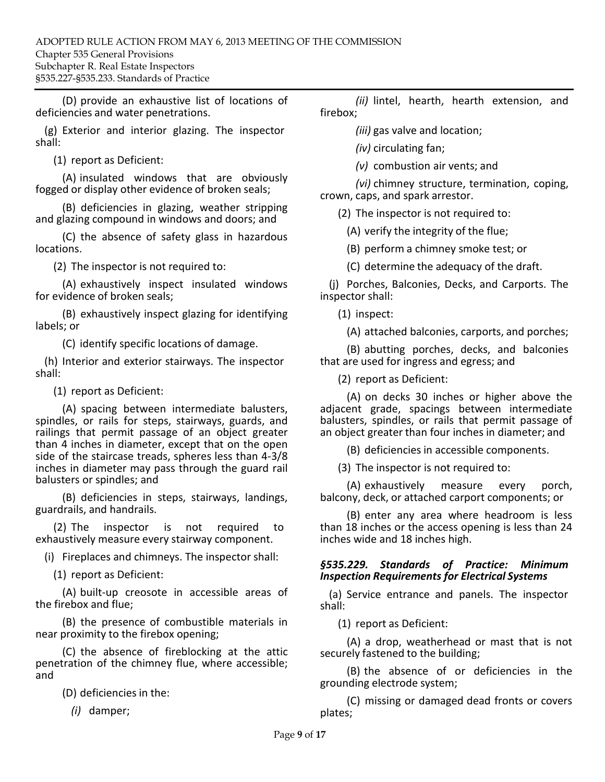(D) provide an exhaustive list of locations of deficiencies and water penetrations.

(g) Exterior and interior glazing. The inspector shall:

(1) report as Deficient:

(A) insulated windows that are obviously fogged or display other evidence of broken seals;

(B) deficiencies in glazing, weather stripping and glazing compound in windows and doors; and

(C) the absence of safety glass in hazardous locations.

(2) The inspector is not required to:

(A) exhaustively inspect insulated windows for evidence of broken seals;

(B) exhaustively inspect glazing for identifying labels; or

(C) identify specific locations of damage.

(h) Interior and exterior stairways. The inspector shall:

(1) report as Deficient:

(A) spacing between intermediate balusters, spindles, or rails for steps, stairways, guards, and railings that permit passage of an object greater than 4 inches in diameter, except that on the open side of the staircase treads, spheres less than 4‐3/8 inches in diameter may pass through the guard rail balusters or spindles; and

(B) deficiencies in steps, stairways, landings, guardrails, and handrails.

(2) The inspector is not required to exhaustively measure every stairway component.

(i) Fireplaces and chimneys. The inspector shall:

(1) report as Deficient:

(A) built‐up creosote in accessible areas of the firebox and flue;

(B) the presence of combustible materials in near proximity to the firebox opening;

(C) the absence of fireblocking at the attic penetration of the chimney flue, where accessible; and

(D) deficiencies in the:

*(i)* damper;

*(ii)* lintel, hearth, hearth extension, and firebox;

*(iii)* gas valve and location;

*(iv)* circulating fan;

*(v)* combustion air vents; and

*(vi)* chimney structure, termination, coping, crown, caps, and spark arrestor.

(2) The inspector is not required to:

(A) verify the integrity of the flue;

(B) perform a chimney smoke test; or

(C) determine the adequacy of the draft.

(j) Porches, Balconies, Decks, and Carports. The inspector shall:

(1) inspect:

(A) attached balconies, carports, and porches;

(B) abutting porches, decks, and balconies that are used for ingress and egress; and

(2) report as Deficient:

(A) on decks 30 inches or higher above the adjacent grade, spacings between intermediate balusters, spindles, or rails that permit passage of an object greater than four inches in diameter; and

(B) deficiencies in accessible components.

(3) The inspector is not required to:

(A) exhaustively measure every porch, balcony, deck, or attached carport components; or

(B) enter any area where headroom is less than 18 inches or the access opening is less than 24 inches wide and 18 inches high.

#### *§535.229. Standards of Practice: Minimum Inspection Requirements for Electrical Systems*

(a) Service entrance and panels. The inspector shall:

(1) report as Deficient:

(A) a drop, weatherhead or mast that is not securely fastened to the building;

(B) the absence of or deficiencies in the grounding electrode system;

(C) missing or damaged dead fronts or covers plates;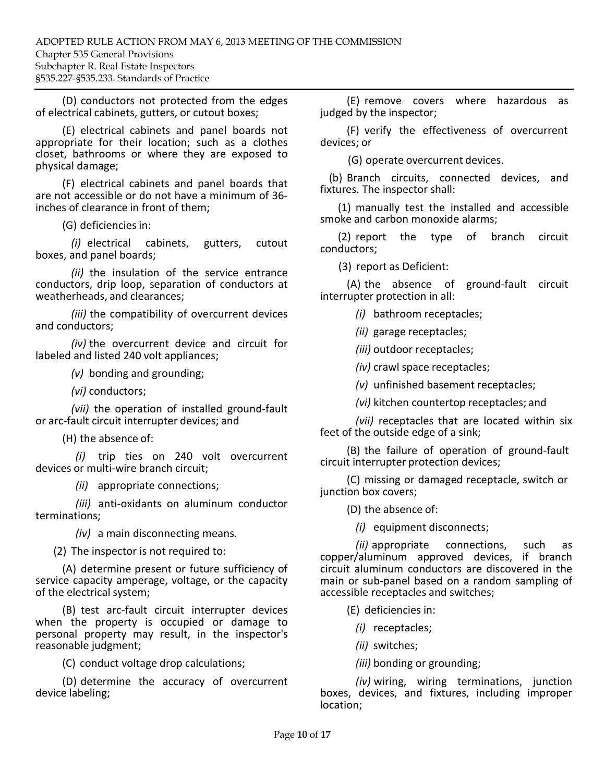(D) conductors not protected from the edges of electrical cabinets, gutters, or cutout boxes;

(E) electrical cabinets and panel boards not appropriate for their location; such as a clothes closet, bathrooms or where they are exposed to physical damage;

(F) electrical cabinets and panel boards that are not accessible or do not have a minimum of 36‐ inches of clearance in front of them;

(G) deficienciesin:

*(i)* electrical cabinets, gutters, cutout boxes, and panel boards;

*(ii)* the insulation of the service entrance conductors, drip loop, separation of conductors at weatherheads, and clearances;

*(iii)* the compatibility of overcurrent devices and conductors;

*(iv)* the overcurrent device and circuit for labeled and listed 240 volt appliances;

*(v)* bonding and grounding;

*(vi)* conductors;

*(vii)* the operation of installed ground‐fault or arc‐fault circuit interrupter devices; and

(H) the absence of:

*(i)* trip ties on 240 volt overcurrent devices or multi‐wire branch circuit;

*(ii)* appropriate connections;

*(iii)* anti‐oxidants on aluminum conductor terminations;

*(iv)* a main disconnecting means.

(2) The inspector is not required to:

(A) determine present or future sufficiency of service capacity amperage, voltage, or the capacity of the electrical system;

(B) test arc‐fault circuit interrupter devices when the property is occupied or damage to personal property may result, in the inspector's reasonable judgment;

(C) conduct voltage drop calculations;

(D) determine the accuracy of overcurrent device labeling;

(E) remove covers where hazardous as judged by the inspector;

(F) verify the effectiveness of overcurrent devices; or

(G) operate overcurrent devices.

(b) Branch circuits, connected devices, and fixtures. The inspector shall:

(1) manually test the installed and accessible smoke and carbon monoxide alarms;

(2) report the type of branch circuit conductors;

(3) report as Deficient:

(A) the absence of ground‐fault circuit interrupter protection in all:

*(i)* bathroom receptacles;

*(ii)* garage receptacles;

*(iii)* outdoor receptacles;

*(iv)* crawl space receptacles;

*(v)* unfinished basement receptacles;

*(vi)* kitchen countertop receptacles; and

*(vii)* receptacles that are located within six feet of the outside edge of a sink;

(B) the failure of operation of ground‐fault circuit interrupter protection devices;

(C) missing or damaged receptacle, switch or junction box covers;

(D) the absence of:

*(i)* equipment disconnects;

*(ii)* appropriate connections, such as copper/aluminum approved devices, if branch circuit aluminum conductors are discovered in the main or sub‐panel based on a random sampling of accessible receptacles and switches;

(E) deficiencies in:

*(i)* receptacles;

*(ii)* switches;

*(iii)* bonding or grounding;

*(iv)* wiring, wiring terminations, junction boxes, devices, and fixtures, including improper location;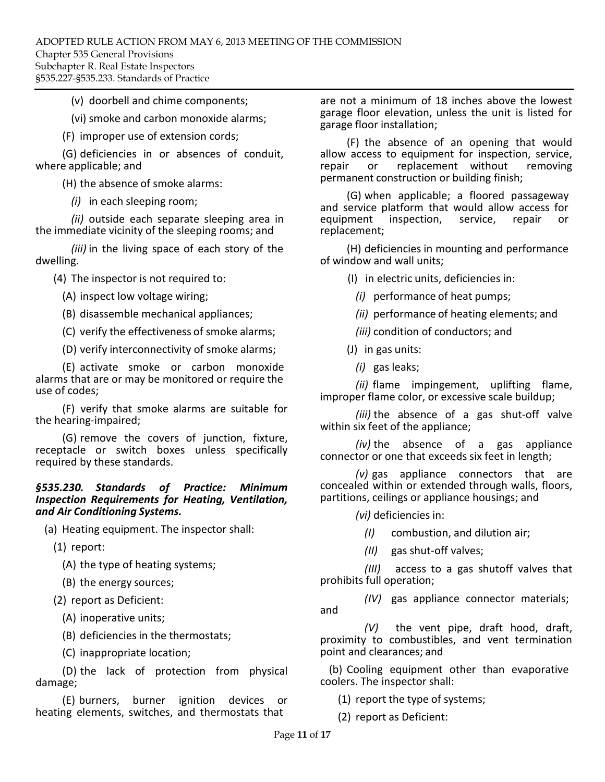(v) doorbell and chime components;

(vi) smoke and carbon monoxide alarms;

(F) improper use of extension cords;

(G) deficiencies in or absences of conduit, where applicable; and

(H) the absence of smoke alarms:

*(i)* in each sleeping room;

*(ii)* outside each separate sleeping area in the immediate vicinity of the sleeping rooms; and

*(iii)* in the living space of each story of the dwelling.

(4) The inspector is not required to:

(A) inspect low voltage wiring;

(B) disassemble mechanical appliances;

(C) verify the effectiveness of smoke alarms;

(D) verify interconnectivity of smoke alarms;

(E) activate smoke or carbon monoxide alarms that are or may be monitored or require the use of codes;

(F) verify that smoke alarms are suitable for the hearing‐impaired;

(G) remove the covers of junction, fixture, receptacle or switch boxes unless specifically required by these standards.

### *§535.230. Standards of Practice: Minimum Inspection Requirements for Heating, Ventilation, and Air Conditioning Systems.*

(a) Heating equipment. The inspector shall:

(1) report:

(A) the type of heating systems;

(B) the energy sources;

(2) report as Deficient:

(A) inoperative units;

(B) deficiencies in the thermostats;

(C) inappropriate location;

(D) the lack of protection from physical damage;

(E) burners, burner ignition devices or heating elements, switches, and thermostats that

are not a minimum of 18 inches above the lowest garage floor elevation, unless the unit is listed for garage floor installation;

(F) the absence of an opening that would allow access to equipment for inspection, service, repair or replacement without permanent construction or building finish;

(G) when applicable; a floored passageway and service platform that would allow access for<br>equipment inspection. service. repair or equipment inspection, service, repair or replacement;

(H) deficiencies in mounting and performance of window and wall units;

(I) in electric units, deficiencies in:

*(i)* performance of heat pumps;

*(ii)* performance of heating elements; and

*(iii)* condition of conductors; and

(J) in gas units:

*(i)* gas leaks;

*(ii)* flame impingement, uplifting flame, improper flame color, or excessive scale buildup;

*(iii)* the absence of a gas shut‐off valve within six feet of the appliance;

*(iv)* the absence of a gas appliance connector or one that exceeds six feet in length;

*(v)* gas appliance connectors that are concealed within or extended through walls, floors, partitions, ceilings or appliance housings; and

*(vi)* deficiencies in:

*(I)* combustion, and dilution air;

*(II)* gas shut‐off valves;

*(III)* access to a gas shutoff valves that prohibits full operation;

*(IV)* gas appliance connector materials; and

*(V)* the vent pipe, draft hood, draft, proximity to combustibles, and vent termination point and clearances; and

(b) Cooling equipment other than evaporative coolers. The inspector shall:

(1) report the type of systems;

(2) report as Deficient: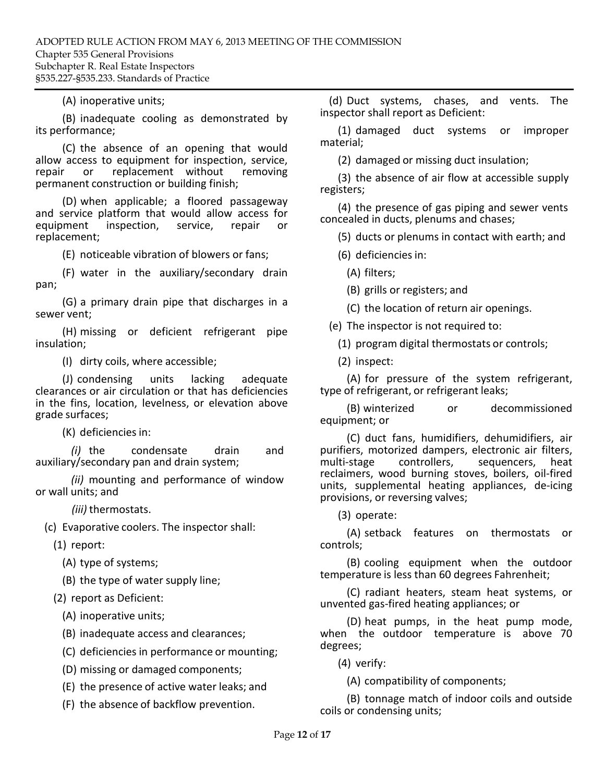### (A) inoperative units;

(B) inadequate cooling as demonstrated by its performance;

(C) the absence of an opening that would allow access to equipment for inspection, service, repair or replacement without removing permanent construction or building finish;

(D) when applicable; a floored passageway and service platform that would allow access for<br>equipment inspection, service, repair or inspection, service, repair or replacement;

(E) noticeable vibration of blowers or fans;

(F) water in the auxiliary/secondary drain pan;

(G) a primary drain pipe that discharges in a sewer vent;

(H) missing or deficient refrigerant pipe insulation;

(I) dirty coils, where accessible;

(J) condensing units lacking adequate clearances or air circulation or that has deficiencies in the fins, location, levelness, or elevation above grade surfaces;

(K) deficienciesin:

*(i)* the condensate drain and auxiliary/secondary pan and drain system;

*(ii)* mounting and performance of window or wall units; and

*(iii)* thermostats.

(c) Evaporative coolers. The inspector shall:

(1) report:

(A) type of systems;

(B) the type of water supply line;

(2) report as Deficient:

(A) inoperative units;

(B) inadequate access and clearances;

(C) deficiencies in performance or mounting;

(D) missing or damaged components;

(E) the presence of active water leaks; and

(F) the absence of backflow prevention.

(d) Duct systems, chases, and vents. The inspector shall report as Deficient:

(1) damaged duct systems or improper material;

(2) damaged or missing duct insulation;

(3) the absence of air flow at accessible supply registers;

(4) the presence of gas piping and sewer vents concealed in ducts, plenums and chases;

(5) ducts or plenums in contact with earth; and

(6) deficienciesin:

(A) filters;

(B) grills or registers; and

(C) the location of return air openings.

(e) The inspector is not required to:

(1) program digital thermostats or controls;

(2) inspect:

(A) for pressure of the system refrigerant, type of refrigerant, or refrigerant leaks;

(B) winterized or decommissioned equipment; or

(C) duct fans, humidifiers, dehumidifiers, air purifiers, motorized dampers, electronic air filters,<br>multi-stage controllers, sequencers, heat sequencers, heat reclaimers, wood burning stoves, boilers, oil‐fired units, supplemental heating appliances, de‐icing provisions, or reversing valves;

(3) operate:

(A) setback features on thermostats or controls;

(B) cooling equipment when the outdoor temperature is less than 60 degrees Fahrenheit;

(C) radiant heaters, steam heat systems, or unvented gas‐fired heating appliances; or

(D) heat pumps, in the heat pump mode, when the outdoor temperature is above 70 degrees;

(4) verify:

(A) compatibility of components;

(B) tonnage match of indoor coils and outside coils or condensing units;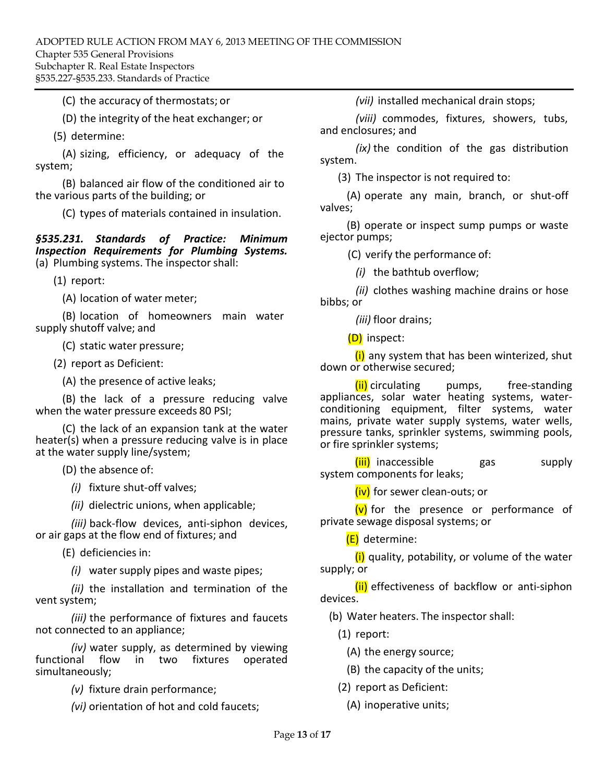(C) the accuracy of thermostats; or

(D) the integrity of the heat exchanger; or

(5) determine:

(A) sizing, efficiency, or adequacy of the system;

(B) balanced air flow of the conditioned air to the various parts of the building; or

(C) types of materials contained in insulation.

*§535.231. Standards of Practice: Minimum Inspection Requirements for Plumbing Systems.*  (a) Plumbing systems. The inspector shall:

(1) report:

(A) location of water meter;

(B) location of homeowners main water supply shutoff valve; and

(C) static water pressure;

(2) report as Deficient:

(A) the presence of active leaks;

(B) the lack of a pressure reducing valve when the water pressure exceeds 80 PSI;

(C) the lack of an expansion tank at the water heater(s) when a pressure reducing valve is in place at the water supply line/system;

(D) the absence of:

*(i)* fixture shut‐off valves;

*(ii)* dielectric unions, when applicable;

*(iii)* back‐flow devices, anti‐siphon devices, or air gaps at the flow end of fixtures; and

(E) deficiencies in:

*(i)* water supply pipes and waste pipes;

*(ii)* the installation and termination of the vent system;

*(iii)* the performance of fixtures and faucets not connected to an appliance;

*(iv)* water supply, as determined by viewing functional flow in two fixtures operated simultaneously;

*(v)* fixture drain performance;

*(vi)* orientation of hot and cold faucets;

*(vii)* installed mechanical drain stops;

*(viii)* commodes, fixtures, showers, tubs, and enclosures; and

*(ix)* the condition of the gas distribution system.

(3) The inspector is not required to:

(A) operate any main, branch, or shut‐off valves;

(B) operate or inspect sump pumps or waste ejector pumps;

(C) verify the performance of:

*(i)* the bathtub overflow;

bibbs; or *(ii)* clothes washing machine drains or hose

*(iii)* floor drains;

(D) inspect:

(i) any system that has been winterized, shut down or otherwise secured;

 $(iii)$  circulating pumps, free-standing appliances, solar water heating systems, water‐ conditioning equipment, filter systems, water mains, private water supply systems, water wells, pressure tanks, sprinkler systems, swimming pools, or fire sprinkler systems;

(iii) inaccessible gas supply system components for leaks;

(iv) for sewer clean-outs; or

 $(v)$  for the presence or performance of private sewage disposal systems; or

(E) determine:

 $(i)$  quality, potability, or volume of the water supply; or

(ii) effectiveness of backflow or anti-siphon devices.

(b) Water heaters. The inspector shall:

(1) report:

(A) the energy source;

(B) the capacity of the units;

(2) report as Deficient:

(A) inoperative units;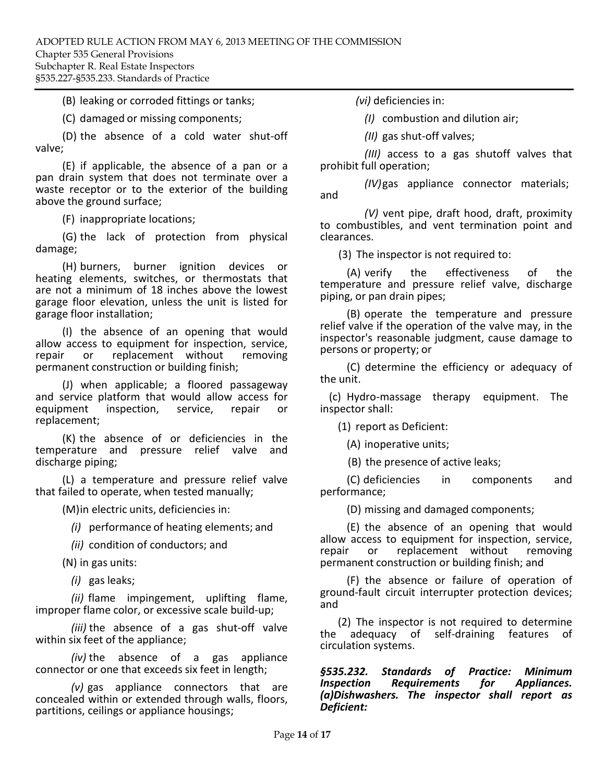### (B) leaking or corroded fittings or tanks;

(C) damaged or missing components;

(D) the absence of a cold water shut‐off valve;

(E) if applicable, the absence of a pan or a pan drain system that does not terminate over a waste receptor or to the exterior of the building above the ground surface;

(F) inappropriate locations;

(G) the lack of protection from physical damage;

(H) burners, burner ignition devices or heating elements, switches, or thermostats that are not a minimum of 18 inches above the lowest garage floor elevation, unless the unit is listed for garage floor installation;

(I) the absence of an opening that would allow access to equipment for inspection, service, repair or replacement without permanent construction or building finish;

(J) when applicable; a floored passageway and service platform that would allow access for equipment inspection. service, repair or inspection, service, repair or replacement;

(K) the absence of or deficiencies in the temperature and pressure relief valve and discharge piping;

(L) a temperature and pressure relief valve that failed to operate, when tested manually;

(M)in electric units, deficiencies in:

*(i)* performance of heating elements; and

*(ii)* condition of conductors; and

(N) in gas units:

*(i)* gas leaks;

*(ii)* flame impingement, uplifting flame, improper flame color, or excessive scale build‐up;

*(iii)* the absence of a gas shut‐off valve within six feet of the appliance;

*(iv)* the absence of a gas appliance connector or one that exceeds six feet in length;

*(v)* gas appliance connectors that are concealed within or extended through walls, floors, partitions, ceilings or appliance housings;

*(vi)* deficienciesin:

*(I)* combustion and dilution air;

*(II)* gas shut‐off valves;

*(III)* access to a gas shutoff valves that prohibit full operation;

*(IV)*gas appliance connector materials; and

*(V)* vent pipe, draft hood, draft, proximity to combustibles, and vent termination point and clearances.

(3) The inspector is not required to:

(A) verify the effectiveness of the temperature and pressure relief valve, discharge piping, or pan drain pipes;

(B) operate the temperature and pressure relief valve if the operation of the valve may, in the inspector's reasonable judgment, cause damage to persons or property; or

(C) determine the efficiency or adequacy of the unit.

(c) Hydro‐massage therapy equipment. The inspector shall:

(1) report as Deficient:

(A) inoperative units;

(B) the presence of active leaks;

(C) deficiencies in components and performance;

(D) missing and damaged components;

(E) the absence of an opening that would allow access to equipment for inspection, service, or replacement without permanent construction or building finish; and

(F) the absence or failure of operation of ground‐fault circuit interrupter protection devices; and

(2) The inspector is not required to determine<br>the adequacy of self-draining features of self-draining features circulation systems.

*§535.232. Standards of Practice: Minimum Inspection Requirements for (a)Dishwashers. The inspector shall report as Deficient:*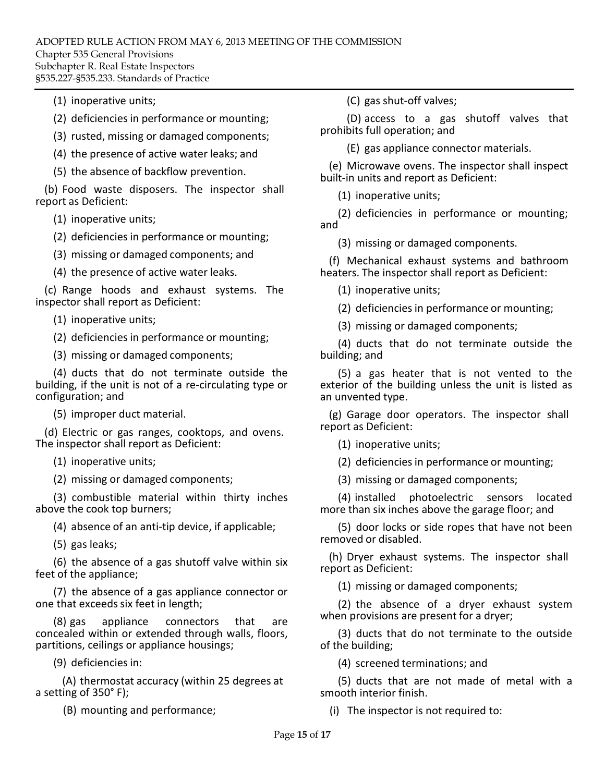(1) inoperative units;

(2) deficiencies in performance or mounting;

(3) rusted, missing or damaged components;

(4) the presence of active water leaks; and

(5) the absence of backflow prevention.

(b) Food waste disposers. The inspector shall report as Deficient:

(1) inoperative units;

(2) deficienciesin performance or mounting;

(3) missing or damaged components; and

(4) the presence of active water leaks.

(c) Range hoods and exhaust systems. The inspector shall report as Deficient:

(1) inoperative units;

(2) deficienciesin performance or mounting;

(3) missing or damaged components;

(4) ducts that do not terminate outside the building, if the unit is not of a re‐circulating type or configuration; and

(5) improper duct material.

(d) Electric or gas ranges, cooktops, and ovens. The inspector shall report as Deficient:

(1) inoperative units;

(2) missing or damaged components;

(3) combustible material within thirty inches above the cook top burners;

(4) absence of an anti‐tip device, if applicable;

(5) gas leaks;

(6) the absence of a gas shutoff valve within six feet of the appliance;

(7) the absence of a gas appliance connector or one that exceeds six feet in length;

(8) gas appliance connectors that are concealed within or extended through walls, floors, partitions, ceilings or appliance housings;

(9) deficienciesin:

(A) thermostat accuracy (within 25 degrees at a setting of 350° F);

(B) mounting and performance;

(C) gas shut‐off valves;

(D) access to a gas shutoff valves that prohibits full operation; and

(E) gas appliance connector materials.

(e) Microwave ovens. The inspector shall inspect built‐in units and report as Deficient:

(1) inoperative units;

(2) deficiencies in performance or mounting; and

(3) missing or damaged components.

(f) Mechanical exhaust systems and bathroom heaters. The inspector shall report as Deficient:

(1) inoperative units;

(2) deficiencies in performance or mounting;

(3) missing or damaged components;

(4) ducts that do not terminate outside the building; and

(5) a gas heater that is not vented to the exterior of the building unless the unit is listed as an unvented type.

(g) Garage door operators. The inspector shall report as Deficient:

(1) inoperative units;

(2) deficienciesin performance or mounting;

(3) missing or damaged components;

(4) installed photoelectric sensors located more than six inches above the garage floor; and

(5) door locks or side ropes that have not been removed or disabled.

(h) Dryer exhaust systems. The inspector shall report as Deficient:

(1) missing or damaged components;

(2) the absence of a dryer exhaust system when provisions are present for a dryer;

(3) ducts that do not terminate to the outside of the building;

(4) screened terminations; and

(5) ducts that are not made of metal with a smooth interior finish.

(i) The inspector is not required to: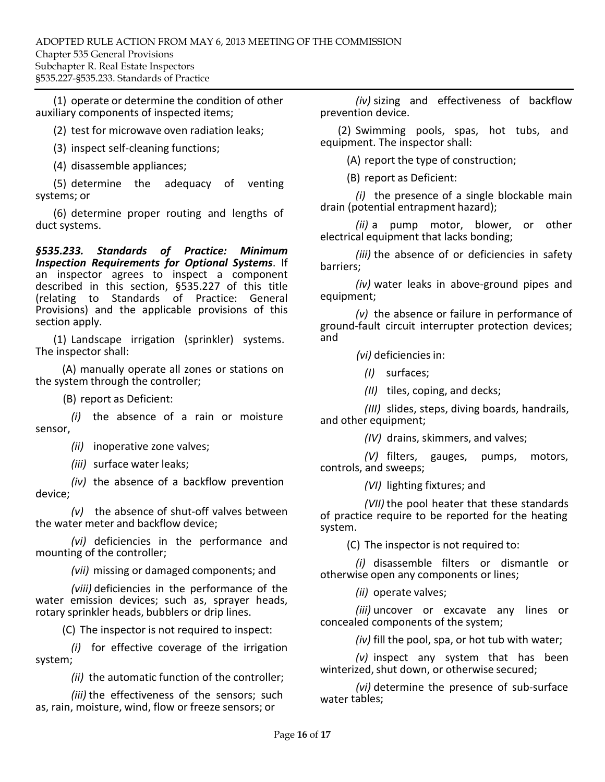(1) operate or determine the condition of other auxiliary components of inspected items;

(2) test for microwave oven radiation leaks;

(3) inspect self‐cleaning functions;

(4) disassemble appliances;

(5) determine the adequacy of venting systems; or

(6) determine proper routing and lengths of duct systems.

*§535.233. Standards of Practice: Minimum Inspection Requirements for Optional Systems*. If an inspector agrees to inspect a component described in this section, §535.227 of this title (relating to Standards of Practice: General Provisions) and the applicable provisions of this section apply.

(1) Landscape irrigation (sprinkler) systems. The inspector shall:

(A) manually operate all zones or stations on the system through the controller;

(B) report as Deficient:

sensor, *(i)* the absence of a rain or moisture

*(ii)* inoperative zone valves;

*(iii)* surface water leaks;

device; *(iv)* the absence of a backflow prevention

*(v)* the absence of shut‐off valves between the water meter and backflow device;

*(vi)* deficiencies in the performance and mounting of the controller;

*(vii)* missing or damaged components; and

*(viii)* deficiencies in the performance of the water emission devices; such as, sprayer heads, rotary sprinkler heads, bubblers or drip lines.

(C) The inspector is not required to inspect:

*(i)* for effective coverage of the irrigation system;

*(ii)* the automatic function of the controller;

*(iii)* the effectiveness of the sensors; such as, rain, moisture, wind, flow or freeze sensors; or

*(iv)* sizing and effectiveness of backflow prevention device.

(2) Swimming pools, spas, hot tubs, and equipment. The inspector shall:

(A) report the type of construction;

(B) report as Deficient:

*(i)* the presence of a single blockable main drain (potential entrapment hazard);

*(ii)* a pump motor, blower, or other electrical equipment that lacks bonding;

*(iii)* the absence of or deficiencies in safety barriers;

*(iv)* water leaks in above‐ground pipes and equipment;

*(v)* the absence or failure in performance of ground‐fault circuit interrupter protection devices; and

*(vi)* deficienciesin:

*(I)* surfaces;

*(II)* tiles, coping, and decks;

and other equipment; *(III)* slides, steps, diving boards, handrails,

*(IV)* drains, skimmers, and valves;

*(V)* filters, gauges, pumps, motors, controls, and sweeps;

*(VI)* lighting fixtures; and

*(VII)* the pool heater that these standards of practice require to be reported for the heating system.

(C) The inspector is not required to:

*(i)* disassemble filters or dismantle or otherwise open any components or lines;

*(ii)* operate valves;

*(iii)* uncover or excavate any lines or concealed components of the system;

*(iv)* fill the pool, spa, or hot tub with water;

*(v)* inspect any system that has been winterized, shut down, or otherwise secured;

water tables;*(vi)* determine the presence of sub‐surface